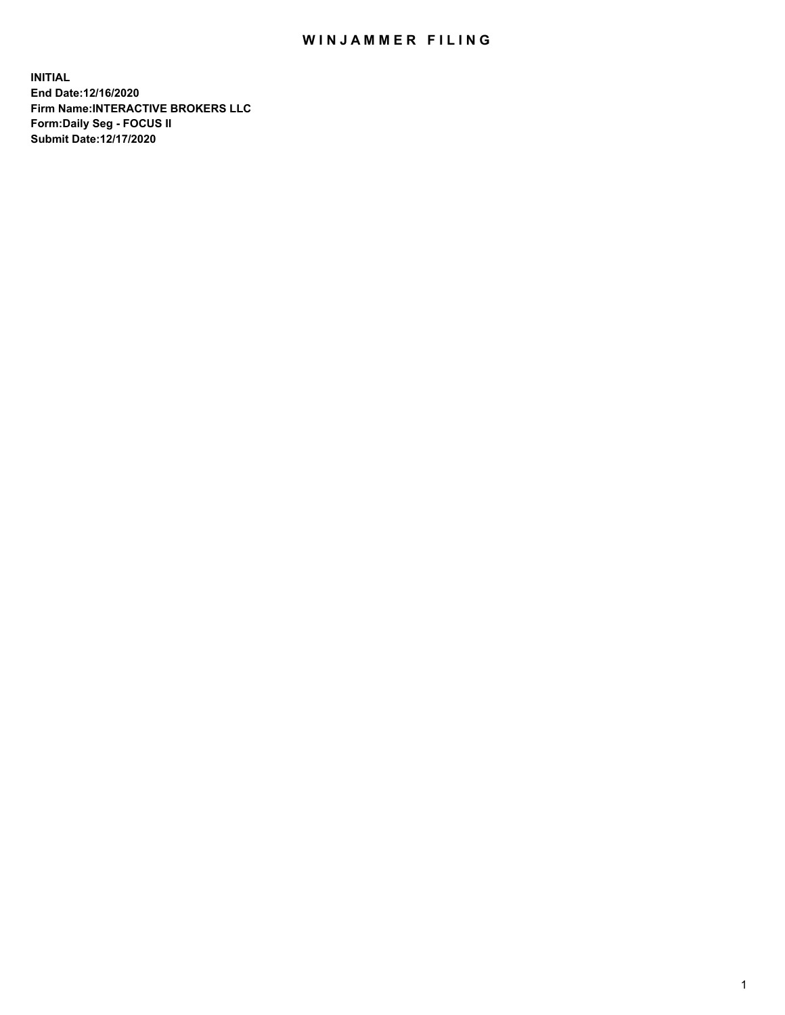## WIN JAMMER FILING

**INITIAL End Date:12/16/2020 Firm Name:INTERACTIVE BROKERS LLC Form:Daily Seg - FOCUS II Submit Date:12/17/2020**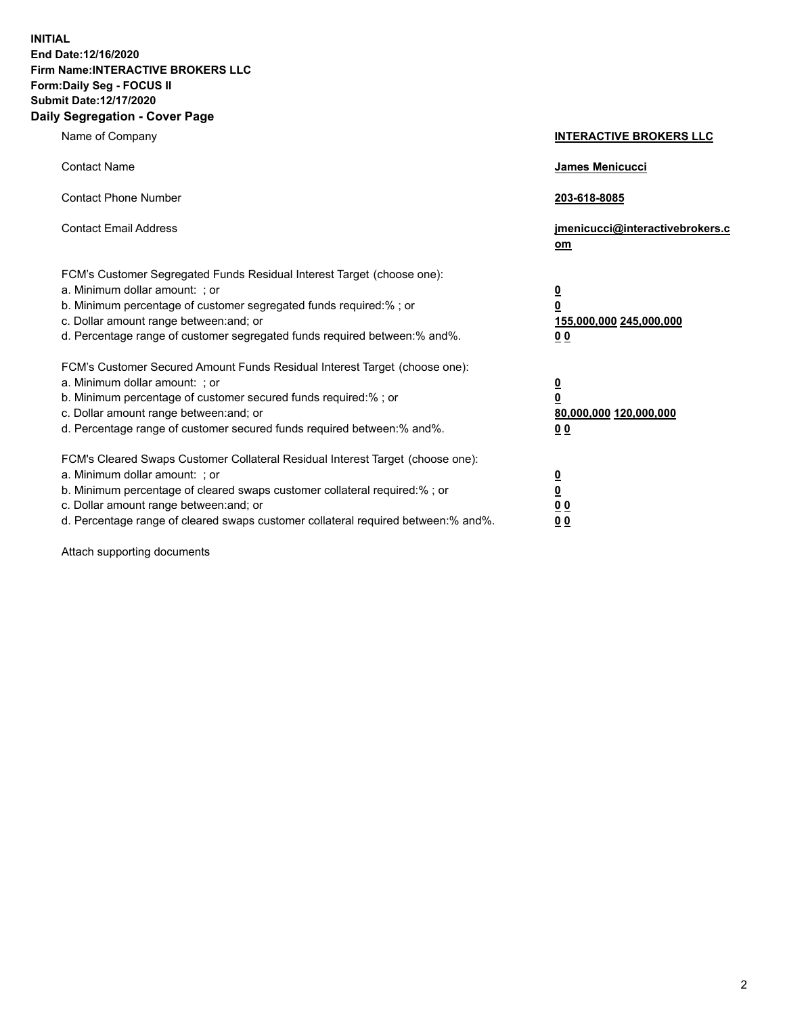**INITIAL End Date:12/16/2020 Firm Name:INTERACTIVE BROKERS LLC Form:Daily Seg - FOCUS II Submit Date:12/17/2020 Daily Segregation - Cover Page**

| Name of Company                                                                                                                                                                                                                                                                                                                | <b>INTERACTIVE BROKERS LLC</b>                                                                  |  |
|--------------------------------------------------------------------------------------------------------------------------------------------------------------------------------------------------------------------------------------------------------------------------------------------------------------------------------|-------------------------------------------------------------------------------------------------|--|
| <b>Contact Name</b>                                                                                                                                                                                                                                                                                                            | James Menicucci                                                                                 |  |
| <b>Contact Phone Number</b>                                                                                                                                                                                                                                                                                                    | 203-618-8085                                                                                    |  |
| <b>Contact Email Address</b>                                                                                                                                                                                                                                                                                                   | jmenicucci@interactivebrokers.c<br>om                                                           |  |
| FCM's Customer Segregated Funds Residual Interest Target (choose one):<br>a. Minimum dollar amount: ; or<br>b. Minimum percentage of customer segregated funds required:% ; or<br>c. Dollar amount range between: and; or<br>d. Percentage range of customer segregated funds required between:% and%.                         | $\overline{\mathbf{0}}$<br>$\overline{\mathbf{0}}$<br>155,000,000 245,000,000<br>0 <sub>0</sub> |  |
| FCM's Customer Secured Amount Funds Residual Interest Target (choose one):<br>a. Minimum dollar amount: ; or<br>b. Minimum percentage of customer secured funds required:% ; or<br>c. Dollar amount range between: and; or<br>d. Percentage range of customer secured funds required between:% and%.                           | <u>0</u><br>$\overline{\mathbf{0}}$<br>80,000,000 120,000,000<br>0 <sub>0</sub>                 |  |
| FCM's Cleared Swaps Customer Collateral Residual Interest Target (choose one):<br>a. Minimum dollar amount: ; or<br>b. Minimum percentage of cleared swaps customer collateral required:% ; or<br>c. Dollar amount range between: and; or<br>d. Percentage range of cleared swaps customer collateral required between:% and%. | $\frac{0}{0}$<br>0 <sub>0</sub><br>0 <sub>0</sub>                                               |  |

Attach supporting documents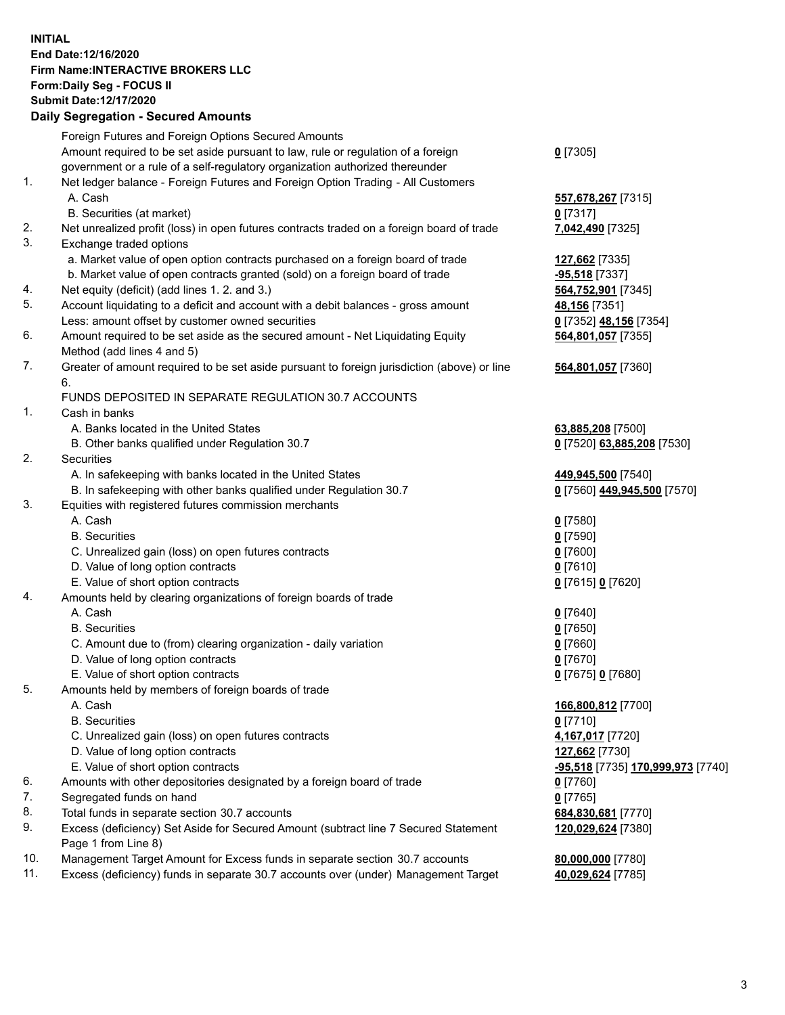**INITIAL End Date:12/16/2020 Firm Name:INTERACTIVE BROKERS LLC Form:Daily Seg - FOCUS II Submit Date:12/17/2020 Daily Segregation - Secured Amounts**

## Foreign Futures and Foreign Options Secured Amounts Amount required to be set aside pursuant to law, rule or regulation of a foreign government or a rule of a self-regulatory organization authorized thereunder **0** [7305] 1. Net ledger balance - Foreign Futures and Foreign Option Trading - All Customers A. Cash **557,678,267** [7315] B. Securities (at market) **0** [7317] 2. Net unrealized profit (loss) in open futures contracts traded on a foreign board of trade **7,042,490** [7325] 3. Exchange traded options a. Market value of open option contracts purchased on a foreign board of trade **127,662** [7335] b. Market value of open contracts granted (sold) on a foreign board of trade **-95,518** [7337] 4. Net equity (deficit) (add lines 1. 2. and 3.) **564,752,901** [7345] 5. Account liquidating to a deficit and account with a debit balances - gross amount **48,156** [7351] Less: amount offset by customer owned securities **0** [7352] **48,156** [7354] 6. Amount required to be set aside as the secured amount - Net Liquidating Equity Method (add lines 4 and 5) **564,801,057** [7355] 7. Greater of amount required to be set aside pursuant to foreign jurisdiction (above) or line 6. **564,801,057** [7360] FUNDS DEPOSITED IN SEPARATE REGULATION 30.7 ACCOUNTS 1. Cash in banks A. Banks located in the United States **63,885,208** [7500] B. Other banks qualified under Regulation 30.7 **0** [7520] **63,885,208** [7530] 2. Securities A. In safekeeping with banks located in the United States **449,945,500** [7540] B. In safekeeping with other banks qualified under Regulation 30.7 **0** [7560] **449,945,500** [7570] 3. Equities with registered futures commission merchants A. Cash **0** [7580] B. Securities **0** [7590] C. Unrealized gain (loss) on open futures contracts **0** [7600] D. Value of long option contracts **0** [7610] E. Value of short option contracts **0** [7615] **0** [7620] 4. Amounts held by clearing organizations of foreign boards of trade A. Cash **0** [7640] B. Securities **0** [7650] C. Amount due to (from) clearing organization - daily variation **0** [7660] D. Value of long option contracts **0** [7670] E. Value of short option contracts **0** [7675] **0** [7680] 5. Amounts held by members of foreign boards of trade A. Cash **166,800,812** [7700] B. Securities **0** [7710] C. Unrealized gain (loss) on open futures contracts **4,167,017** [7720] D. Value of long option contracts **127,662** [7730] E. Value of short option contracts **-95,518** [7735] **170,999,973** [7740] 6. Amounts with other depositories designated by a foreign board of trade **0** [7760] 7. Segregated funds on hand **0** [7765] 8. Total funds in separate section 30.7 accounts **684,830,681** [7770] 9. Excess (deficiency) Set Aside for Secured Amount (subtract line 7 Secured Statement Page 1 from Line 8) **120,029,624** [7380] 10. Management Target Amount for Excess funds in separate section 30.7 accounts **80,000,000** [7780] 11. Excess (deficiency) funds in separate 30.7 accounts over (under) Management Target **40,029,624** [7785]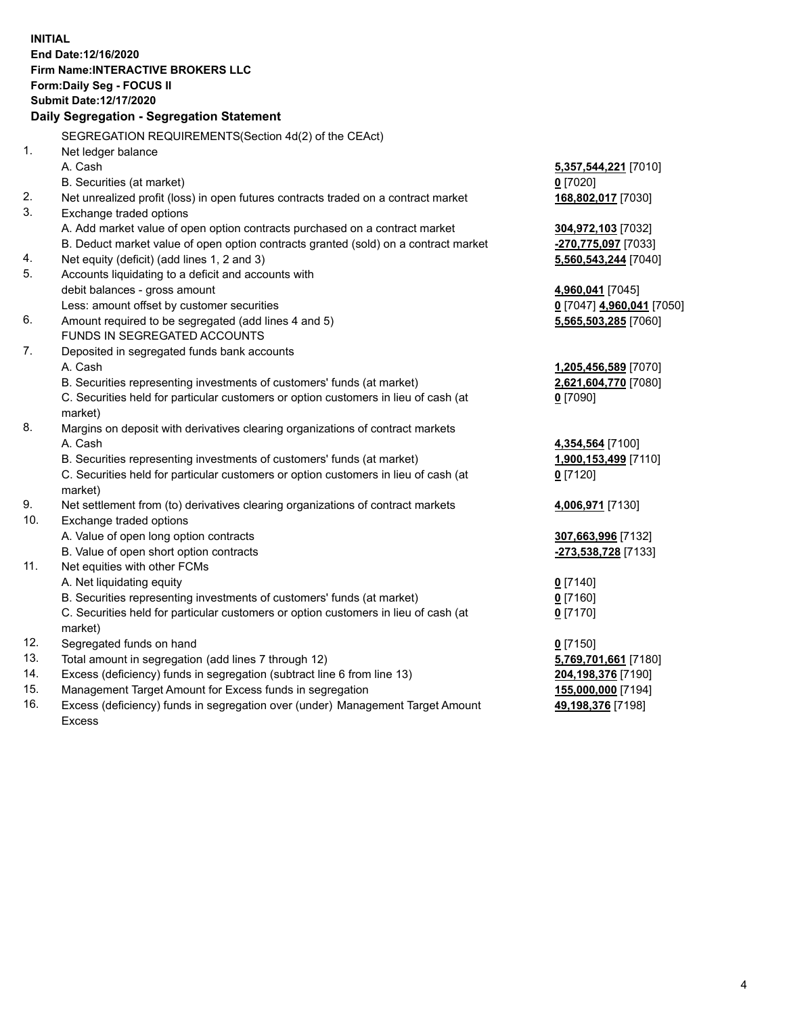**INITIAL End Date:12/16/2020 Firm Name:INTERACTIVE BROKERS LLC Form:Daily Seg - FOCUS II Submit Date:12/17/2020 Daily Segregation - Segregation Statement** SEGREGATION REQUIREMENTS(Section 4d(2) of the CEAct) 1. Net ledger balance A. Cash **5,357,544,221** [7010] B. Securities (at market) **0** [7020] 2. Net unrealized profit (loss) in open futures contracts traded on a contract market **168,802,017** [7030] 3. Exchange traded options A. Add market value of open option contracts purchased on a contract market **304,972,103** [7032] B. Deduct market value of open option contracts granted (sold) on a contract market **-270,775,097** [7033] 4. Net equity (deficit) (add lines 1, 2 and 3) **5,560,543,244** [7040] 5. Accounts liquidating to a deficit and accounts with debit balances - gross amount **4,960,041** [7045] Less: amount offset by customer securities **0** [7047] **4,960,041** [7050] 6. Amount required to be segregated (add lines 4 and 5) **5,565,503,285** [7060] FUNDS IN SEGREGATED ACCOUNTS 7. Deposited in segregated funds bank accounts A. Cash **1,205,456,589** [7070] B. Securities representing investments of customers' funds (at market) **2,621,604,770** [7080] C. Securities held for particular customers or option customers in lieu of cash (at market) **0** [7090] 8. Margins on deposit with derivatives clearing organizations of contract markets A. Cash **4,354,564** [7100] B. Securities representing investments of customers' funds (at market) **1,900,153,499** [7110] C. Securities held for particular customers or option customers in lieu of cash (at market) **0** [7120] 9. Net settlement from (to) derivatives clearing organizations of contract markets **4,006,971** [7130] 10. Exchange traded options A. Value of open long option contracts **307,663,996** [7132] B. Value of open short option contracts **-273,538,728** [7133] 11. Net equities with other FCMs A. Net liquidating equity **0** [7140] B. Securities representing investments of customers' funds (at market) **0** [7160] C. Securities held for particular customers or option customers in lieu of cash (at market) **0** [7170] 12. Segregated funds on hand **0** [7150] 13. Total amount in segregation (add lines 7 through 12) **5,769,701,661** [7180] 14. Excess (deficiency) funds in segregation (subtract line 6 from line 13) **204,198,376** [7190] 15. Management Target Amount for Excess funds in segregation **155,000,000** [7194]

16. Excess (deficiency) funds in segregation over (under) Management Target Amount Excess

**49,198,376** [7198]